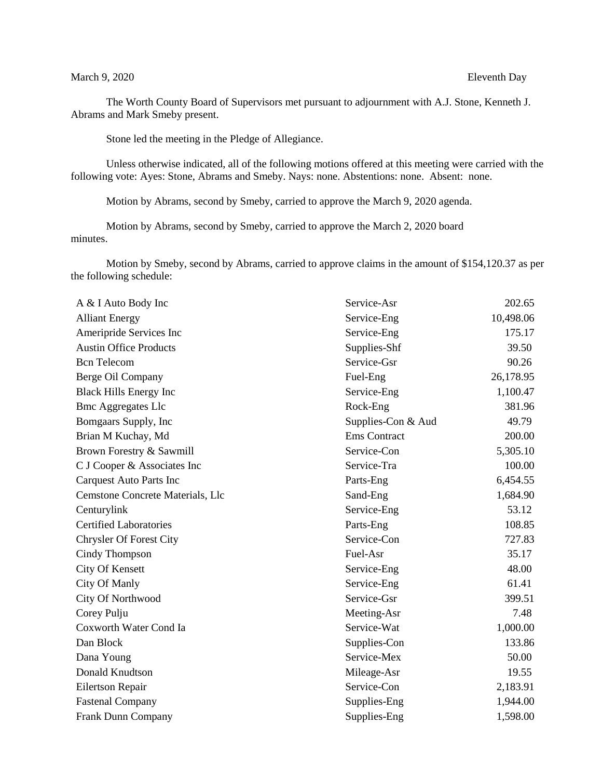## March 9, 2020 Eleventh Day

The Worth County Board of Supervisors met pursuant to adjournment with A.J. Stone, Kenneth J. Abrams and Mark Smeby present.

Stone led the meeting in the Pledge of Allegiance.

Unless otherwise indicated, all of the following motions offered at this meeting were carried with the following vote: Ayes: Stone, Abrams and Smeby. Nays: none. Abstentions: none. Absent: none.

Motion by Abrams, second by Smeby, carried to approve the March 9, 2020 agenda.

Motion by Abrams, second by Smeby, carried to approve the March 2, 2020 board minutes.

Motion by Smeby, second by Abrams, carried to approve claims in the amount of \$154,120.37 as per the following schedule:

| A & I Auto Body Inc              | Service-Asr         | 202.65    |
|----------------------------------|---------------------|-----------|
| <b>Alliant Energy</b>            | Service-Eng         | 10,498.06 |
| Ameripride Services Inc          | Service-Eng         | 175.17    |
| <b>Austin Office Products</b>    | Supplies-Shf        | 39.50     |
| <b>Bcn</b> Telecom               | Service-Gsr         | 90.26     |
| Berge Oil Company                | Fuel-Eng            | 26,178.95 |
| <b>Black Hills Energy Inc</b>    | Service-Eng         | 1,100.47  |
| <b>Bmc Aggregates Llc</b>        | Rock-Eng            | 381.96    |
| Bomgaars Supply, Inc             | Supplies-Con & Aud  | 49.79     |
| Brian M Kuchay, Md               | <b>Ems</b> Contract | 200.00    |
| Brown Forestry & Sawmill         | Service-Con         | 5,305.10  |
| C J Cooper & Associates Inc      | Service-Tra         | 100.00    |
| <b>Carquest Auto Parts Inc</b>   | Parts-Eng           | 6,454.55  |
| Cemstone Concrete Materials, Llc | Sand-Eng            | 1,684.90  |
| Centurylink                      | Service-Eng         | 53.12     |
| <b>Certified Laboratories</b>    | Parts-Eng           | 108.85    |
| <b>Chrysler Of Forest City</b>   | Service-Con         | 727.83    |
| Cindy Thompson                   | Fuel-Asr            | 35.17     |
| <b>City Of Kensett</b>           | Service-Eng         | 48.00     |
| City Of Manly                    | Service-Eng         | 61.41     |
| City Of Northwood                | Service-Gsr         | 399.51    |
| Corey Pulju                      | Meeting-Asr         | 7.48      |
| Coxworth Water Cond Ia           | Service-Wat         | 1,000.00  |
| Dan Block                        | Supplies-Con        | 133.86    |
| Dana Young                       | Service-Mex         | 50.00     |
| Donald Knudtson                  | Mileage-Asr         | 19.55     |
| Eilertson Repair                 | Service-Con         | 2,183.91  |
| <b>Fastenal Company</b>          | Supplies-Eng        | 1,944.00  |
| Frank Dunn Company               | Supplies-Eng        | 1,598.00  |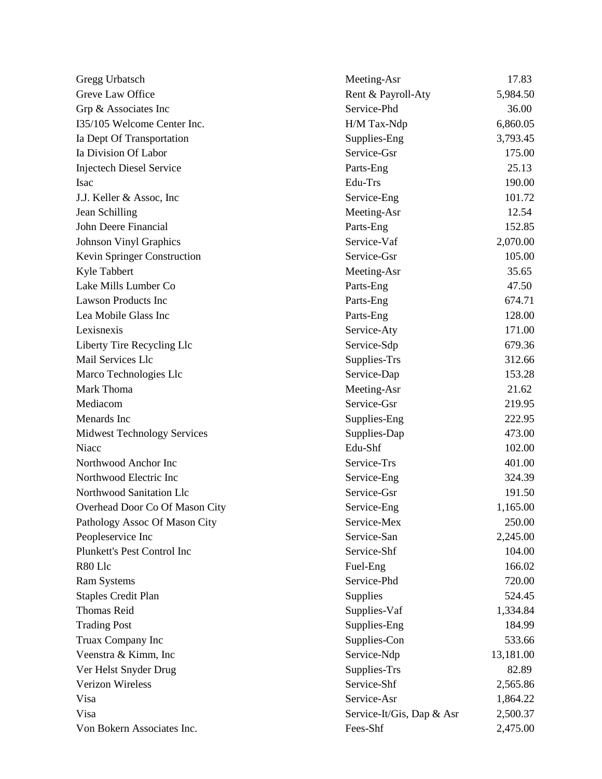| Gregg Urbatsch                     | Meeting-Asr               | 17.83     |
|------------------------------------|---------------------------|-----------|
| Greve Law Office                   | Rent & Payroll-Aty        | 5,984.50  |
| Grp & Associates Inc               | Service-Phd               | 36.00     |
| I35/105 Welcome Center Inc.        | H/M Tax-Ndp               | 6,860.05  |
| Ia Dept Of Transportation          | Supplies-Eng              | 3,793.45  |
| Ia Division Of Labor               | Service-Gsr               | 175.00    |
| <b>Injectech Diesel Service</b>    | Parts-Eng                 | 25.13     |
| <b>Isac</b>                        | Edu-Trs                   | 190.00    |
| J.J. Keller & Assoc, Inc.          | Service-Eng               | 101.72    |
| Jean Schilling                     | Meeting-Asr               | 12.54     |
| John Deere Financial               | Parts-Eng                 | 152.85    |
| <b>Johnson Vinyl Graphics</b>      | Service-Vaf               | 2,070.00  |
| Kevin Springer Construction        | Service-Gsr               | 105.00    |
| Kyle Tabbert                       | Meeting-Asr               | 35.65     |
| Lake Mills Lumber Co               | Parts-Eng                 | 47.50     |
| <b>Lawson Products Inc</b>         | Parts-Eng                 | 674.71    |
| Lea Mobile Glass Inc               | Parts-Eng                 | 128.00    |
| Lexisnexis                         | Service-Aty               | 171.00    |
| Liberty Tire Recycling Llc         | Service-Sdp               | 679.36    |
| Mail Services Llc                  | Supplies-Trs              | 312.66    |
| Marco Technologies Llc             | Service-Dap               | 153.28    |
| Mark Thoma                         | Meeting-Asr               | 21.62     |
| Mediacom                           | Service-Gsr               | 219.95    |
| Menards Inc                        | Supplies-Eng              | 222.95    |
| <b>Midwest Technology Services</b> | Supplies-Dap              | 473.00    |
| Niacc                              | Edu-Shf                   | 102.00    |
| Northwood Anchor Inc               | Service-Trs               | 401.00    |
| Northwood Electric Inc             | Service-Eng               | 324.39    |
| Northwood Sanitation Llc           | Service-Gsr               | 191.50    |
| Overhead Door Co Of Mason City     | Service-Eng               | 1,165.00  |
| Pathology Assoc Of Mason City      | Service-Mex               | 250.00    |
| Peopleservice Inc                  | Service-San               | 2,245.00  |
| Plunkett's Pest Control Inc        | Service-Shf               | 104.00    |
| R80 Llc                            | Fuel-Eng                  | 166.02    |
| <b>Ram Systems</b>                 | Service-Phd               | 720.00    |
| <b>Staples Credit Plan</b>         | Supplies                  | 524.45    |
| <b>Thomas Reid</b>                 | Supplies-Vaf              | 1,334.84  |
| <b>Trading Post</b>                | Supplies-Eng              | 184.99    |
| Truax Company Inc                  | Supplies-Con              | 533.66    |
| Veenstra & Kimm, Inc               | Service-Ndp               | 13,181.00 |
| Ver Helst Snyder Drug              | Supplies-Trs              | 82.89     |
| <b>Verizon Wireless</b>            | Service-Shf               | 2,565.86  |
| Visa                               | Service-Asr               | 1,864.22  |
| Visa                               | Service-It/Gis, Dap & Asr | 2,500.37  |
| Von Bokern Associates Inc.         | Fees-Shf                  | 2,475.00  |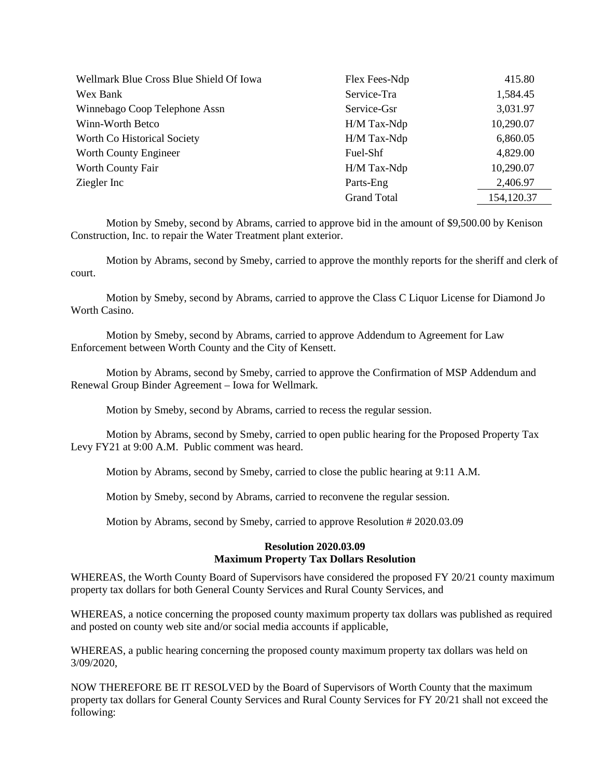| Wellmark Blue Cross Blue Shield Of Iowa | Flex Fees-Ndp      | 415.80     |
|-----------------------------------------|--------------------|------------|
| Wex Bank                                | Service-Tra        | 1,584.45   |
| Winnebago Coop Telephone Assn           | Service-Gsr        | 3,031.97   |
| Winn-Worth Betco                        | H/M Tax-Ndp        | 10,290.07  |
| Worth Co Historical Society             | H/M Tax-Ndp        | 6,860.05   |
| Worth County Engineer                   | Fuel-Shf           | 4,829.00   |
| Worth County Fair                       | H/M Tax-Ndp        | 10,290.07  |
| Ziegler Inc                             | Parts-Eng          | 2,406.97   |
|                                         | <b>Grand Total</b> | 154,120.37 |

Motion by Smeby, second by Abrams, carried to approve bid in the amount of \$9,500.00 by Kenison Construction, Inc. to repair the Water Treatment plant exterior.

Motion by Abrams, second by Smeby, carried to approve the monthly reports for the sheriff and clerk of court.

Motion by Smeby, second by Abrams, carried to approve the Class C Liquor License for Diamond Jo Worth Casino.

Motion by Smeby, second by Abrams, carried to approve Addendum to Agreement for Law Enforcement between Worth County and the City of Kensett.

Motion by Abrams, second by Smeby, carried to approve the Confirmation of MSP Addendum and Renewal Group Binder Agreement – Iowa for Wellmark.

Motion by Smeby, second by Abrams, carried to recess the regular session.

Motion by Abrams, second by Smeby, carried to open public hearing for the Proposed Property Tax Levy FY21 at 9:00 A.M. Public comment was heard.

Motion by Abrams, second by Smeby, carried to close the public hearing at 9:11 A.M.

Motion by Smeby, second by Abrams, carried to reconvene the regular session.

Motion by Abrams, second by Smeby, carried to approve Resolution # 2020.03.09

## **Resolution 2020.03.09 Maximum Property Tax Dollars Resolution**

WHEREAS, the Worth County Board of Supervisors have considered the proposed FY 20/21 county maximum property tax dollars for both General County Services and Rural County Services, and

WHEREAS, a notice concerning the proposed county maximum property tax dollars was published as required and posted on county web site and/or social media accounts if applicable,

WHEREAS, a public hearing concerning the proposed county maximum property tax dollars was held on 3/09/2020,

NOW THEREFORE BE IT RESOLVED by the Board of Supervisors of Worth County that the maximum property tax dollars for General County Services and Rural County Services for FY 20/21 shall not exceed the following: